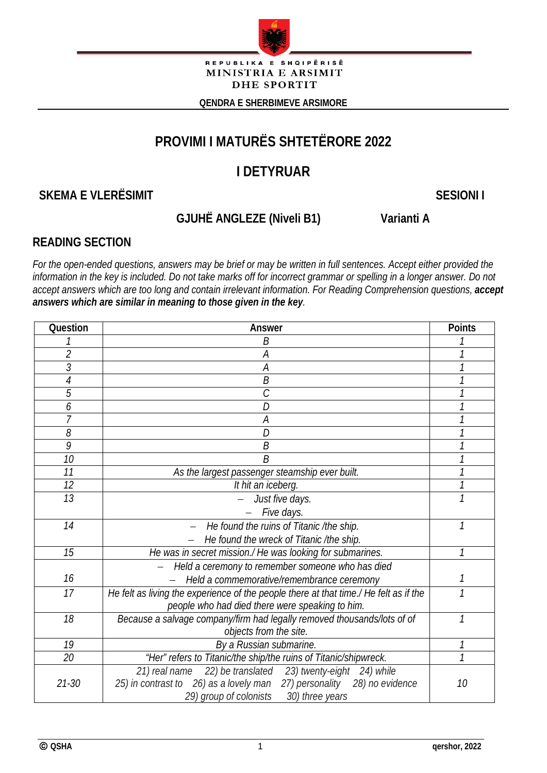

REPUBLIKA E SHQIPËRISË MINISTRIA E ARSIMIT **DHE SPORTIT** 

**QENDRA E SHERBIMEVE ARSIMORE**

# **PROVIMI I MATURËS SHTETËRORE 2022**

# **I DETYRUAR**

**SKEMA E VLERËSIMIT SESIONI I**

# **GJUHË ANGLEZE (Niveli B1) Varianti A**

# **READING SECTION**

*For the open-ended questions, answers may be brief or may be written in full sentences. Accept either provided the information in the key is included. Do not take marks off for incorrect grammar or spelling in a longer answer. Do not accept answers which are too long and contain irrelevant information. For Reading Comprehension questions, accept answers which are similar in meaning to those given in the key.*

| Question       | Answer                                                                                | <b>Points</b> |
|----------------|---------------------------------------------------------------------------------------|---------------|
|                | B                                                                                     |               |
| $\overline{2}$ | A                                                                                     | 1             |
| 3              | А                                                                                     |               |
| 4              | B                                                                                     |               |
| 5              | $\mathcal{C}_{0}^{0}$                                                                 |               |
| 6              | D                                                                                     |               |
|                | А                                                                                     |               |
| 8              | D                                                                                     |               |
| 9              | Β                                                                                     |               |
| 10             | B                                                                                     |               |
| 11             | As the largest passenger steamship ever built.                                        | 1             |
| 12             | It hit an iceberg.                                                                    |               |
| 13             | Just five days.                                                                       | $\mathcal{I}$ |
|                | Five days.                                                                            |               |
| 14             | He found the ruins of Titanic /the ship.                                              | 1             |
|                | He found the wreck of Titanic /the ship.                                              |               |
| 15             | He was in secret mission./ He was looking for submarines.                             | 1             |
|                | Held a ceremony to remember someone who has died                                      |               |
| 16             | Held a commemorative/remembrance ceremony                                             | 1             |
| 17             | He felt as living the experience of the people there at that time./ He felt as if the | 1             |
|                | people who had died there were speaking to him.                                       |               |
| 18             | Because a salvage company/firm had legally removed thousands/lots of of               | 1             |
|                | objects from the site.                                                                |               |
| 19             | By a Russian submarine.                                                               |               |
| 20             | "Her" refers to Titanic/the ship/the ruins of Titanic/shipwreck.                      | $\mathcal{I}$ |
|                | 22) be translated 23) twenty-eight 24) while<br>21) real name                         |               |
| $21 - 30$      | 25) in contrast to 26) as a lovely man 27) personality 28) no evidence                | 10            |
|                | 29) group of colonists 30) three years                                                |               |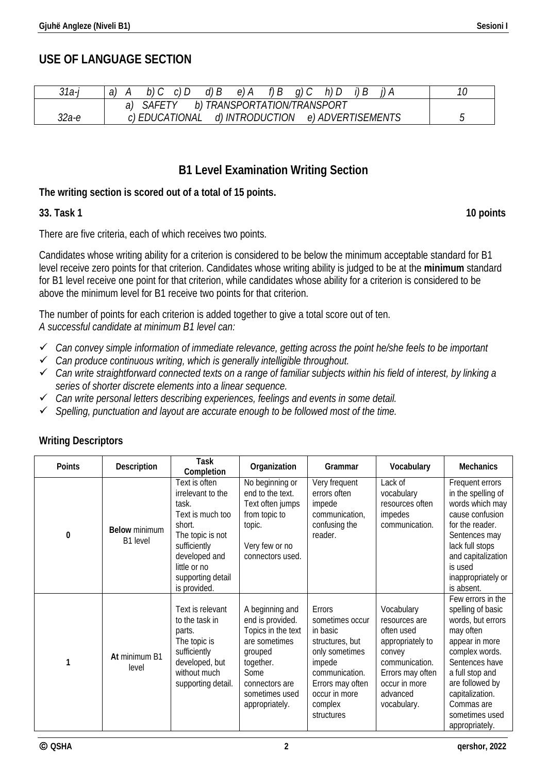## **USE OF LANGUAGE SECTION**

| 31a-i | $d \mid B$<br>a,<br>e)                                 |  |
|-------|--------------------------------------------------------|--|
|       | <i>TRANSPORTATION/TRANSPORT</i><br>b)                  |  |
| 32а-е | d) INTRODUCTION<br>c) EDUCATIONAL<br>e) ADVERTISEMENTS |  |

## **B1 Level Examination Writing Section**

### **The writing section is scored out of a total of 15 points.**

### **33. Task 1 10 points**

There are five criteria, each of which receives two points.

Candidates whose writing ability for a criterion is considered to be below the minimum acceptable standard for B1 level receive zero points for that criterion. Candidates whose writing ability is judged to be at the **minimum** standard for B1 level receive one point for that criterion, while candidates whose ability for a criterion is considered to be above the minimum level for B1 receive two points for that criterion.

The number of points for each criterion is added together to give a total score out of ten. *A successful candidate at minimum B1 level can:*

- *Can convey simple information of immediate relevance, getting across the point he/she feels to be important*
- *Can produce continuous writing, which is generally intelligible throughout.*
- *Can write straightforward connected texts on a range of familiar subjects within his field of interest, by linking a series of shorter discrete elements into a linear sequence.*
- *Can write personal letters describing experiences, feelings and events in some detail.*
- *Spelling, punctuation and layout are accurate enough to be followed most of the time.*

| Points   | Description                      | Task<br>Completion                                                                                                                                                                  | Organization                                                                                                                                                     | Grammar                                                                                                                                                              | Vocabulary                                                                                                                                                | <b>Mechanics</b>                                                                                                                                                                                                                          |
|----------|----------------------------------|-------------------------------------------------------------------------------------------------------------------------------------------------------------------------------------|------------------------------------------------------------------------------------------------------------------------------------------------------------------|----------------------------------------------------------------------------------------------------------------------------------------------------------------------|-----------------------------------------------------------------------------------------------------------------------------------------------------------|-------------------------------------------------------------------------------------------------------------------------------------------------------------------------------------------------------------------------------------------|
| $\bf{0}$ | <b>Below minimum</b><br>B1 level | Text is often<br>irrelevant to the<br>task.<br>Text is much too<br>short.<br>The topic is not<br>sufficiently<br>developed and<br>little or no<br>supporting detail<br>is provided. | No beginning or<br>end to the text.<br>Text often jumps<br>from topic to<br>topic.<br>Very few or no<br>connectors used.                                         | Very frequent<br>errors often<br>impede<br>communication,<br>confusing the<br>reader.                                                                                | Lack of<br>vocabulary<br>resources often<br>impedes<br>communication.                                                                                     | Frequent errors<br>in the spelling of<br>words which may<br>cause confusion<br>for the reader.<br>Sentences may<br>lack full stops<br>and capitalization<br>is used<br>inappropriately or<br>is absent.                                   |
| 1        | At minimum B1<br>level           | Text is relevant<br>to the task in<br>parts.<br>The topic is<br>sufficiently<br>developed, but<br>without much<br>supporting detail.                                                | A beginning and<br>end is provided.<br>Topics in the text<br>are sometimes<br>grouped<br>together.<br>Some<br>connectors are<br>sometimes used<br>appropriately. | Errors<br>sometimes occur<br>in basic<br>structures, but<br>only sometimes<br>impede<br>communication.<br>Errors may often<br>occur in more<br>complex<br>structures | Vocabulary<br>resources are<br>often used<br>appropriately to<br>convey<br>communication.<br>Errors may often<br>occur in more<br>advanced<br>vocabulary. | Few errors in the<br>spelling of basic<br>words, but errors<br>may often<br>appear in more<br>complex words.<br>Sentences have<br>a full stop and<br>are followed by<br>capitalization.<br>Commas are<br>sometimes used<br>appropriately. |

## **Writing Descriptors**